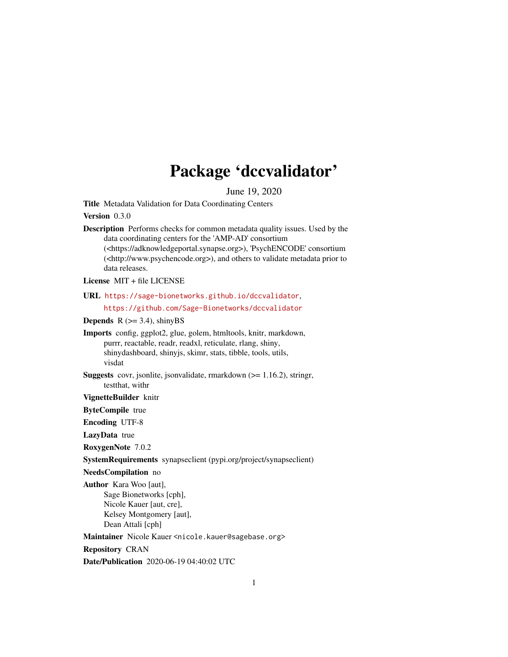# Package 'dccvalidator'

June 19, 2020

<span id="page-0-0"></span>Title Metadata Validation for Data Coordinating Centers

Version 0.3.0

Description Performs checks for common metadata quality issues. Used by the data coordinating centers for the 'AMP-AD' consortium (<https://adknowledgeportal.synapse.org>), 'PsychENCODE' consortium (<http://www.psychencode.org>), and others to validate metadata prior to data releases.

License MIT + file LICENSE

URL <https://sage-bionetworks.github.io/dccvalidator>,

<https://github.com/Sage-Bionetworks/dccvalidator>

**Depends**  $R$  ( $>= 3.4$ ), shinyBS

Imports config, ggplot2, glue, golem, htmltools, knitr, markdown, purrr, reactable, readr, readxl, reticulate, rlang, shiny, shinydashboard, shinyjs, skimr, stats, tibble, tools, utils, visdat

Suggests covr, jsonlite, jsonvalidate, rmarkdown (>= 1.16.2), stringr, testthat, withr

VignetteBuilder knitr

ByteCompile true

Encoding UTF-8

LazyData true

RoxygenNote 7.0.2

SystemRequirements synapseclient (pypi.org/project/synapseclient)

NeedsCompilation no

Author Kara Woo [aut], Sage Bionetworks [cph], Nicole Kauer [aut, cre], Kelsey Montgomery [aut], Dean Attali [cph]

Maintainer Nicole Kauer <nicole.kauer@sagebase.org>

Repository CRAN

Date/Publication 2020-06-19 04:40:02 UTC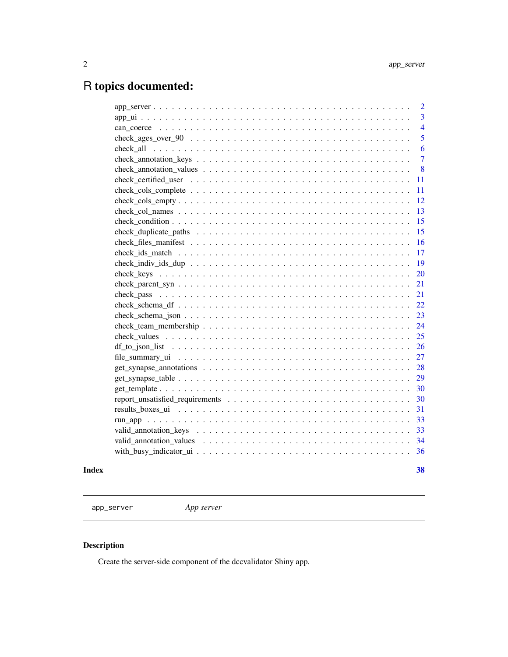## <span id="page-1-0"></span>R topics documented:

| $\overline{2}$ |
|----------------|
| 3              |
| $\overline{4}$ |
| 5              |
| 6              |
| $\overline{7}$ |
| 8              |
| 11             |
| 11             |
| 12             |
| 13             |
| 15             |
| 15             |
| 16             |
| 17             |
| 19             |
| 20             |
| 21             |
| 21             |
| 22             |
| 23             |
| 24             |
|                |
| 26             |
| 27             |
| 28             |
| 29             |
| -30            |
| 30             |
| 31             |
| 33             |
| 33             |
| 34             |
| 36             |
|                |

#### **Index** [38](#page-37-0)

app\_server *App server*

## Description

Create the server-side component of the dccvalidator Shiny app.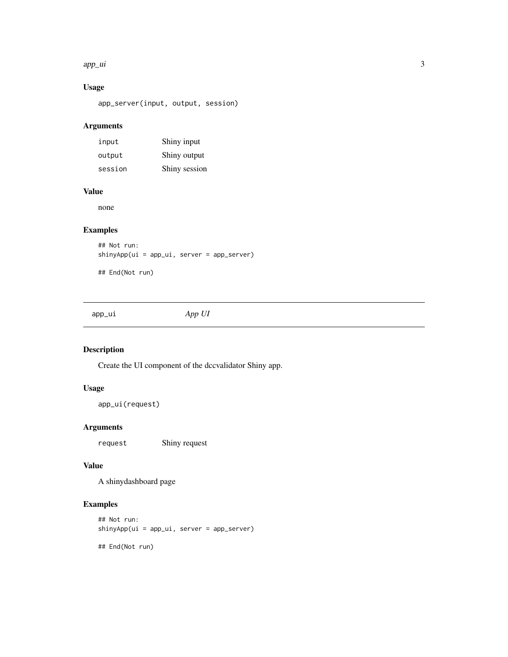#### <span id="page-2-0"></span>app\_ui 3

## Usage

app\_server(input, output, session)

## Arguments

| input   | Shiny input   |
|---------|---------------|
| output  | Shiny output  |
| session | Shiny session |

## Value

none

## Examples

## Not run: shinyApp(ui = app\_ui, server = app\_server)

## End(Not run)

app\_ui *App UI*

## Description

Create the UI component of the dccvalidator Shiny app.

## Usage

```
app_ui(request)
```
## Arguments

request Shiny request

## Value

A shinydashboard page

```
## Not run:
shinyApp(ui = app_ui, server = app_server)
## End(Not run)
```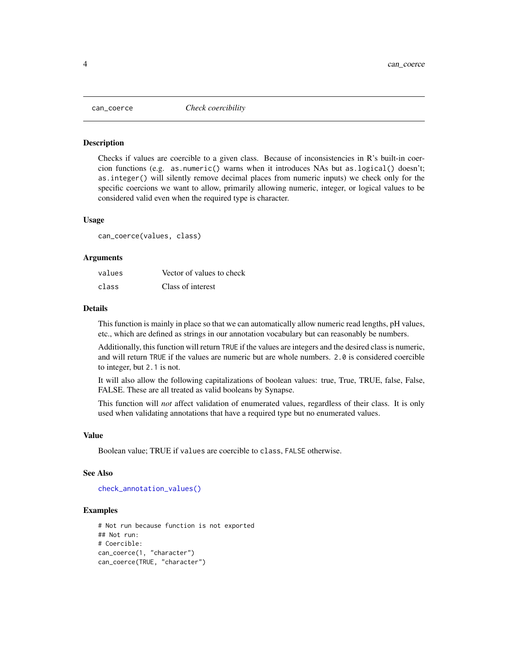<span id="page-3-1"></span><span id="page-3-0"></span>

#### Description

Checks if values are coercible to a given class. Because of inconsistencies in R's built-in coercion functions (e.g. as.numeric() warns when it introduces NAs but as.logical() doesn't; as.integer() will silently remove decimal places from numeric inputs) we check only for the specific coercions we want to allow, primarily allowing numeric, integer, or logical values to be considered valid even when the required type is character.

#### Usage

can\_coerce(values, class)

#### **Arguments**

| values | Vector of values to check |
|--------|---------------------------|
| class  | Class of interest         |

#### Details

This function is mainly in place so that we can automatically allow numeric read lengths, pH values, etc., which are defined as strings in our annotation vocabulary but can reasonably be numbers.

Additionally, this function will return TRUE if the values are integers and the desired class is numeric, and will return TRUE if the values are numeric but are whole numbers. 2.0 is considered coercible to integer, but 2.1 is not.

It will also allow the following capitalizations of boolean values: true, True, TRUE, false, False, FALSE. These are all treated as valid booleans by Synapse.

This function will *not* affect validation of enumerated values, regardless of their class. It is only used when validating annotations that have a required type but no enumerated values.

#### Value

Boolean value; TRUE if values are coercible to class, FALSE otherwise.

#### See Also

[check\\_annotation\\_values\(\)](#page-7-1)

```
# Not run because function is not exported
## Not run:
# Coercible:
can_coerce(1, "character")
can_coerce(TRUE, "character")
```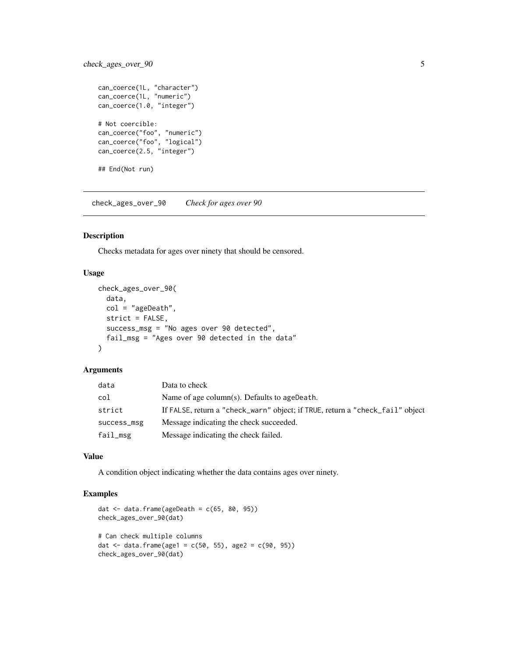## <span id="page-4-0"></span>check\_ages\_over\_90 5

```
can_coerce(1L, "character")
can_coerce(1L, "numeric")
can_coerce(1.0, "integer")
# Not coercible:
can_coerce("foo", "numeric")
can_coerce("foo", "logical")
can_coerce(2.5, "integer")
## End(Not run)
```
check\_ages\_over\_90 *Check for ages over 90*

## Description

Checks metadata for ages over ninety that should be censored.

## Usage

```
check_ages_over_90(
 data,
 col = "ageDeath",strict = FALSE,
  success_msg = "No ages over 90 detected",
 fail_msg = "Ages over 90 detected in the data"
)
```
## Arguments

| data        | Data to check                                                                 |
|-------------|-------------------------------------------------------------------------------|
| col         | Name of age column(s). Defaults to age Death.                                 |
| strict      | If FALSE, return a "check_warn" object; if TRUE, return a "check_fail" object |
| success_msg | Message indicating the check succeeded.                                       |
| fail_msg    | Message indicating the check failed.                                          |

## Value

A condition object indicating whether the data contains ages over ninety.

```
dat \leq data.frame(ageDeath = c(65, 80, 95))
check_ages_over_90(dat)
# Can check multiple columns
dat <- data.frame(age1 = c(50, 55), age2 = c(90, 95))
check_ages_over_90(dat)
```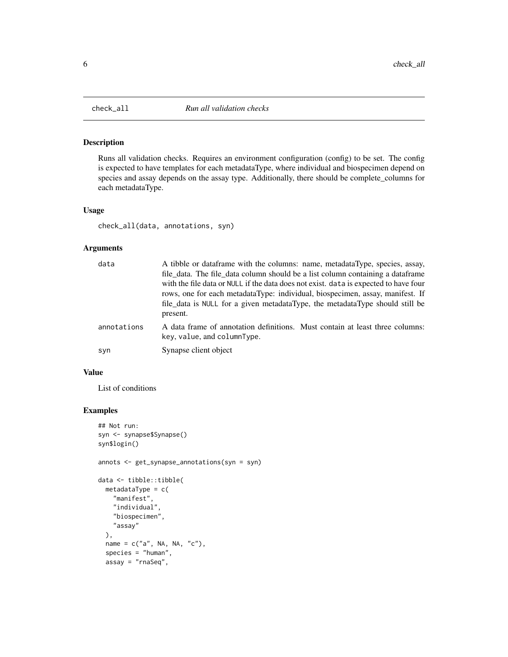<span id="page-5-0"></span>

#### Description

Runs all validation checks. Requires an environment configuration (config) to be set. The config is expected to have templates for each metadataType, where individual and biospecimen depend on species and assay depends on the assay type. Additionally, there should be complete\_columns for each metadataType.

#### Usage

```
check_all(data, annotations, syn)
```
## Arguments

| data        | A tibble or data frame with the columns: name, metadata Type, species, assay,<br>file_data. The file_data column should be a list column containing a dataframe<br>with the file data or NULL if the data does not exist. data is expected to have four<br>rows, one for each metadataType: individual, biospecimen, assay, manifest. If<br>file_data is NULL for a given metadataType, the metadataType should still be<br>present. |
|-------------|--------------------------------------------------------------------------------------------------------------------------------------------------------------------------------------------------------------------------------------------------------------------------------------------------------------------------------------------------------------------------------------------------------------------------------------|
| annotations | A data frame of annotation definitions. Must contain at least three columns:<br>key, value, and columnType.                                                                                                                                                                                                                                                                                                                          |
| syn         | Synapse client object                                                                                                                                                                                                                                                                                                                                                                                                                |

## Value

List of conditions

```
## Not run:
syn <- synapse$Synapse()
syn$login()
annots <- get_synapse_annotations(syn = syn)
data <- tibble::tibble(
 metadataType = c("manifest",
    "individual",
    "biospecimen",
    "assay"
 ),
 name = c("a", NA, NA, "c"),species = "human",
 assay = "rnaSeq",
```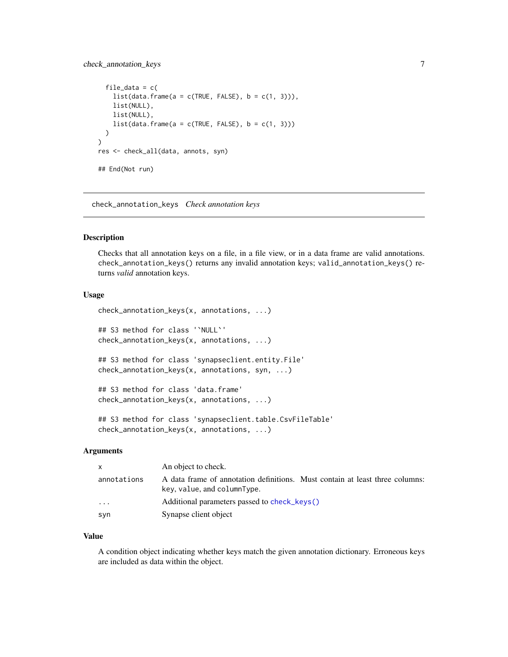## <span id="page-6-0"></span>check\_annotation\_keys 7

```
file_data = c(list(data-frame(a = c(TRUE, FALSE), b = c(1, 3))),list(NULL),
   list(NULL),
    list(data-frame(a = c(TRUE, FALSE), b = c(1, 3)))\lambda)
res <- check_all(data, annots, syn)
## End(Not run)
```
<span id="page-6-1"></span>check\_annotation\_keys *Check annotation keys*

## Description

Checks that all annotation keys on a file, in a file view, or in a data frame are valid annotations. check\_annotation\_keys() returns any invalid annotation keys; valid\_annotation\_keys() returns *valid* annotation keys.

#### Usage

```
check_annotation_keys(x, annotations, ...)
## S3 method for class '`NULL`'
check_annotation_keys(x, annotations, ...)
## S3 method for class 'synapseclient.entity.File'
check_annotation_keys(x, annotations, syn, ...)
## S3 method for class 'data.frame'
check_annotation_keys(x, annotations, ...)
## S3 method for class 'synapseclient.table.CsvFileTable'
```

```
check_annotation_keys(x, annotations, ...)
```
#### Arguments

| $\mathsf{x}$ | An object to check.                                                                                         |
|--------------|-------------------------------------------------------------------------------------------------------------|
| annotations  | A data frame of annotation definitions. Must contain at least three columns:<br>key, value, and columnType. |
| $\cdots$     | Additional parameters passed to check keys()                                                                |
| syn          | Synapse client object                                                                                       |

#### Value

A condition object indicating whether keys match the given annotation dictionary. Erroneous keys are included as data within the object.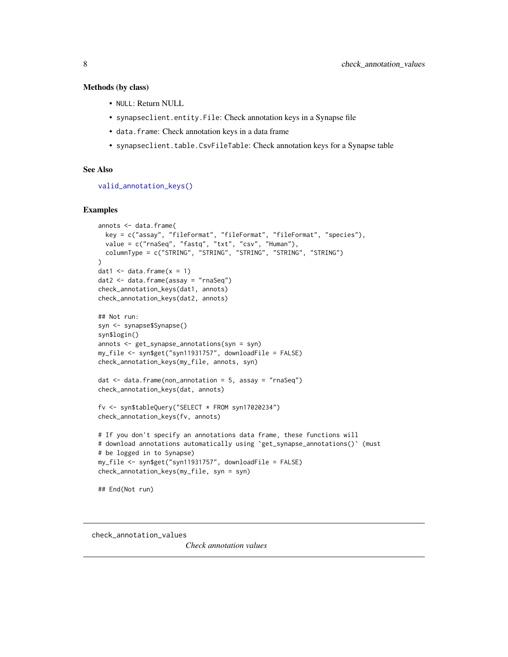#### <span id="page-7-0"></span>Methods (by class)

- NULL: Return NULL
- synapseclient.entity.File: Check annotation keys in a Synapse file
- data.frame: Check annotation keys in a data frame
- synapseclient.table.CsvFileTable: Check annotation keys for a Synapse table

## See Also

[valid\\_annotation\\_keys\(\)](#page-32-1)

#### Examples

```
annots <- data.frame(
  key = c("assay", "fileFormat", "fileFormat", "fileFormat", "species"),
  value = c("rnaSeq", "fastq", "txt", "csv", "Human"),
  columnType = c("STRING", "STRING", "STRING", "STRING", "STRING")
)
dat1 \leq data.frame(x = 1)
dat2 <- data.frame(assay = "rnaSeq")
check_annotation_keys(dat1, annots)
check_annotation_keys(dat2, annots)
## Not run:
syn <- synapse$Synapse()
syn$login()
annots <- get_synapse_annotations(syn = syn)
my_file <- syn$get("syn11931757", downloadFile = FALSE)
check_annotation_keys(my_file, annots, syn)
dat \le data.frame(non_annotation = 5, assay = "rnaSeq")
check_annotation_keys(dat, annots)
fv <- syn$tableQuery("SELECT * FROM syn17020234")
check_annotation_keys(fv, annots)
# If you don't specify an annotations data frame, these functions will
# download annotations automatically using `get_synapse_annotations()` (must
# be logged in to Synapse)
my_file <- syn$get("syn11931757", downloadFile = FALSE)
check_annotation_keys(my_file, syn = syn)
## End(Not run)
```
<span id="page-7-1"></span>check\_annotation\_values

*Check annotation values*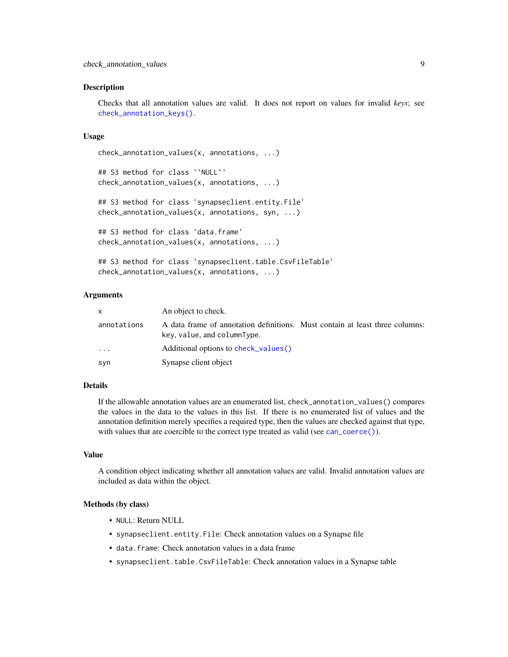#### <span id="page-8-0"></span>Description

Checks that all annotation values are valid. It does not report on values for invalid *keys*; see [check\\_annotation\\_keys\(\)](#page-6-1).

#### Usage

```
check_annotation_values(x, annotations, ...)
```

```
## S3 method for class '`NULL`'
check_annotation_values(x, annotations, ...)
```

```
## S3 method for class 'synapseclient.entity.File'
check_annotation_values(x, annotations, syn, ...)
```

```
## S3 method for class 'data.frame'
check_annotation_values(x, annotations, ...)
```

```
## S3 method for class 'synapseclient.table.CsvFileTable'
check_annotation_values(x, annotations, ...)
```
## Arguments

| x.          | An object to check.                                                                                         |
|-------------|-------------------------------------------------------------------------------------------------------------|
| annotations | A data frame of annotation definitions. Must contain at least three columns:<br>key, value, and columnType. |
| .           | Additional options to check_values()                                                                        |
| syn         | Synapse client object                                                                                       |

## Details

If the allowable annotation values are an enumerated list, check\_annotation\_values() compares the values in the data to the values in this list. If there is no enumerated list of values and the annotation definition merely specifies a required type, then the values are checked against that type, with values that are coercible to the correct type treated as valid (see [can\\_coerce\(\)](#page-3-1)).

#### Value

A condition object indicating whether all annotation values are valid. Invalid annotation values are included as data within the object.

#### Methods (by class)

- NULL: Return NULL
- synapseclient.entity.File: Check annotation values on a Synapse file
- data.frame: Check annotation values in a data frame
- synapseclient.table.CsvFileTable: Check annotation values in a Synapse table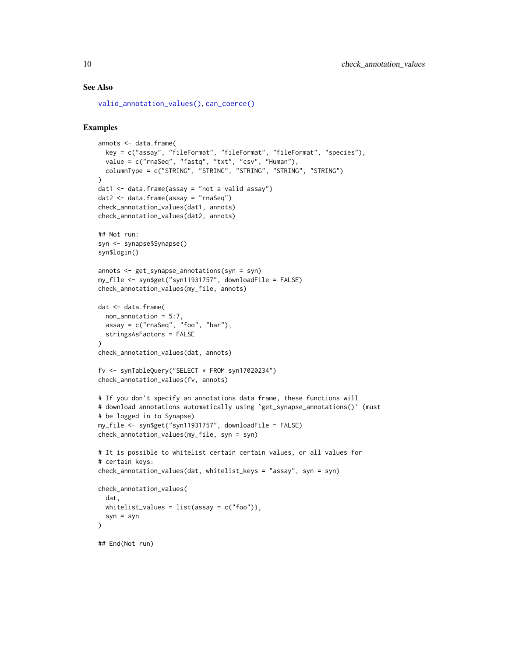#### See Also

[valid\\_annotation\\_values\(\)](#page-33-1), [can\\_coerce\(\)](#page-3-1)

```
annots <- data.frame(
  key = c("assay", "fileFormat", "fileFormat", "fileFormat", "species"),
  value = c("rnaSeq", "fastq", "txt", "csv", "Human"),
  columnType = c("STRING", "STRING", "STRING", "STRING", "STRING")
)
dat1 \leftarrow data.frame(assay = "not a valid assay")
dat2 <- data.frame(assay = "rnaSeq")
check_annotation_values(dat1, annots)
check_annotation_values(dat2, annots)
## Not run:
syn <- synapse$Synapse()
syn$login()
annots <- get_synapse_annotations(syn = syn)
my_file <- syn$get("syn11931757", downloadFile = FALSE)
check_annotation_values(my_file, annots)
dat <- data.frame(
 non_annotation = 5:7,
  assay = c("rnaSeq", "foo", "bar"),
  stringsAsFactors = FALSE
\lambdacheck_annotation_values(dat, annots)
fv <- synTableQuery("SELECT * FROM syn17020234")
check_annotation_values(fv, annots)
# If you don't specify an annotations data frame, these functions will
# download annotations automatically using `get_synapse_annotations()` (must
# be logged in to Synapse)
my_file <- syn$get("syn11931757", downloadFile = FALSE)
check_annotation_values(my_file, syn = syn)
# It is possible to whitelist certain certain values, or all values for
# certain keys:
check_annotation_values(dat, whitelist_keys = "assay", syn = syn)
check_annotation_values(
  dat,
  whitelist_values = list(assay = c("foo"),syn = syn)
## End(Not run)
```
<span id="page-9-0"></span>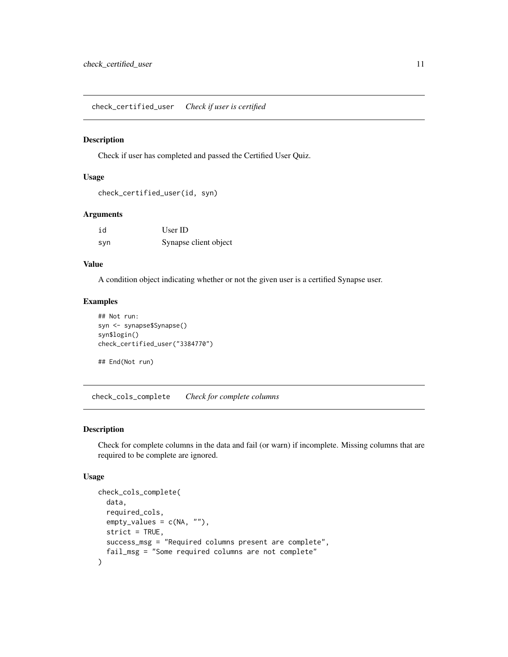<span id="page-10-1"></span><span id="page-10-0"></span>check\_certified\_user *Check if user is certified*

#### Description

Check if user has completed and passed the Certified User Quiz.

#### Usage

```
check_certified_user(id, syn)
```
## Arguments

| id  | User ID               |
|-----|-----------------------|
| syn | Synapse client object |

## Value

A condition object indicating whether or not the given user is a certified Synapse user.

## Examples

```
## Not run:
syn <- synapse$Synapse()
syn$login()
check_certified_user("3384770")
```
## End(Not run)

check\_cols\_complete *Check for complete columns*

## Description

Check for complete columns in the data and fail (or warn) if incomplete. Missing columns that are required to be complete are ignored.

## Usage

```
check_cols_complete(
  data,
  required_cols,
  empty\_values = c(NA, ""),
  strict = TRUE,
  success_msg = "Required columns present are complete",
  fail_msg = "Some required columns are not complete"
\mathcal{E}
```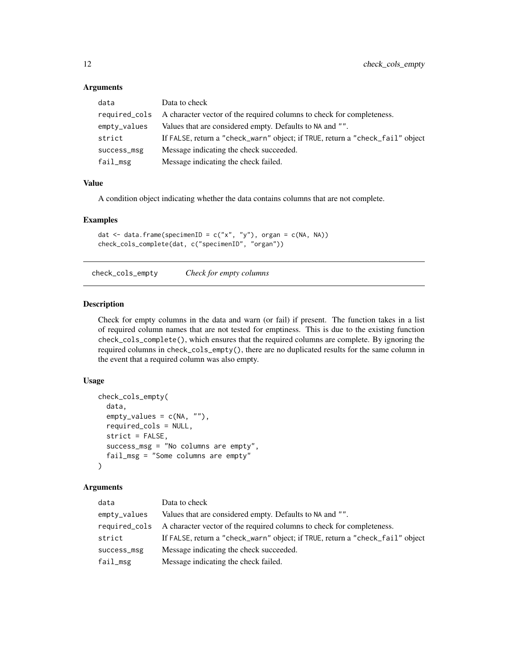#### <span id="page-11-0"></span>Arguments

| data          | Data to check                                                                 |
|---------------|-------------------------------------------------------------------------------|
| required_cols | A character vector of the required columns to check for completeness.         |
| empty_values  | Values that are considered empty. Defaults to NA and "".                      |
| strict        | If FALSE, return a "check_warn" object; if TRUE, return a "check_fail" object |
| success_msg   | Message indicating the check succeeded.                                       |
| fail_msg      | Message indicating the check failed.                                          |

## Value

A condition object indicating whether the data contains columns that are not complete.

#### Examples

```
dat \leq data.frame(specimenID = c("x", "y"), organ = c(NA, NA))
check_cols_complete(dat, c("specimenID", "organ"))
```
check\_cols\_empty *Check for empty columns*

#### Description

Check for empty columns in the data and warn (or fail) if present. The function takes in a list of required column names that are not tested for emptiness. This is due to the existing function check\_cols\_complete(), which ensures that the required columns are complete. By ignoring the required columns in check\_cols\_empty(), there are no duplicated results for the same column in the event that a required column was also empty.

#### Usage

```
check_cols_empty(
  data,
  empty\_values = c(NA, ""),required_cols = NULL,
  strict = FALSE,
  success_msg = "No columns are empty",
  fail_msg = "Some columns are empty"
)
```
#### Arguments

| Data to check                                                                 |
|-------------------------------------------------------------------------------|
| Values that are considered empty. Defaults to NA and "".                      |
| A character vector of the required columns to check for completeness.         |
| If FALSE, return a "check_warn" object; if TRUE, return a "check_fail" object |
| Message indicating the check succeeded.                                       |
| Message indicating the check failed.                                          |
|                                                                               |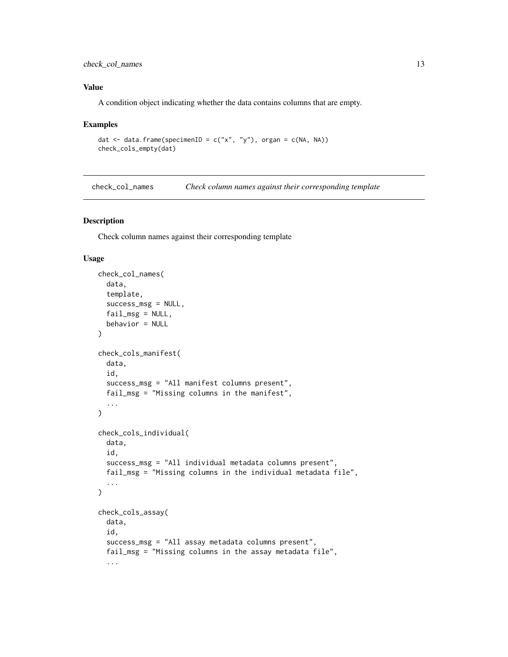## <span id="page-12-0"></span>check\_col\_names 13

## Value

A condition object indicating whether the data contains columns that are empty.

#### Examples

```
dat <- data.frame(specimenID = c("x", "y"), organ = c(NA, NA))
check_cols_empty(dat)
```
check\_col\_names *Check column names against their corresponding template*

#### Description

Check column names against their corresponding template

## Usage

```
check_col_names(
  data,
  template,
  success_msg = NULL,
  fail_msg = NULL,
  behavior = NULL
)
check_cols_manifest(
  data,
  id,
  success_msg = "All manifest columns present",
  fail_msg = "Missing columns in the manifest",
  ...
)
check_cols_individual(
  data,
  id,
  success_msg = "All individual metadata columns present",
  fail_msg = "Missing columns in the individual metadata file",
  ...
)
check_cols_assay(
  data,
  id,
  success_msg = "All assay metadata columns present",
  fail_msg = "Missing columns in the assay metadata file",
  ...
```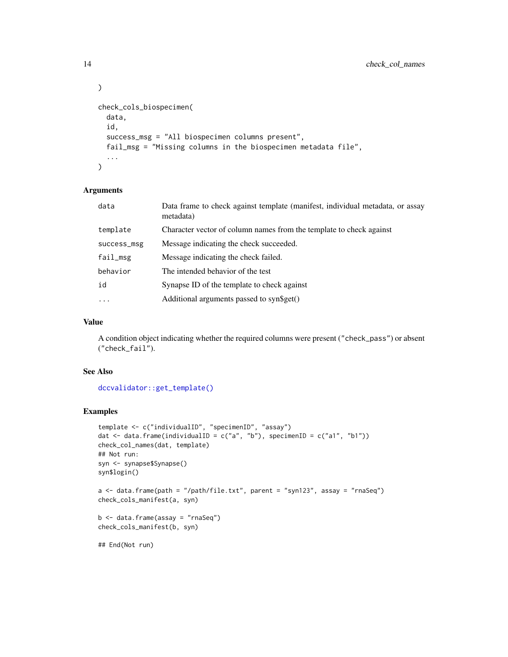```
)
check_cols_biospecimen(
  data,
  id,
  success_msg = "All biospecimen columns present",
  fail_msg = "Missing columns in the biospecimen metadata file",
  ...
)
```
## Arguments

| data        | Data frame to check against template (manifest, individual metadata, or assay<br>metadata) |
|-------------|--------------------------------------------------------------------------------------------|
| template    | Character vector of column names from the template to check against                        |
| success_msg | Message indicating the check succeeded.                                                    |
| fail_msg    | Message indicating the check failed.                                                       |
| behavior    | The intended behavior of the test                                                          |
| id          | Synapse ID of the template to check against                                                |
| $\ddots$ .  | Additional arguments passed to syn\$get()                                                  |

## Value

A condition object indicating whether the required columns were present ("check\_pass") or absent ("check\_fail").

## See Also

[dccvalidator::get\\_template\(\)](#page-0-0)

```
template <- c("individualID", "specimenID", "assay")
dat \leq data.frame(individualID = c("a", "b"), specimenID = c("a1", "b1"))
check_col_names(dat, template)
## Not run:
syn <- synapse$Synapse()
syn$login()
a <- data.frame(path = "/path/file.txt", parent = "syn123", assay = "rnaSeq")
check_cols_manifest(a, syn)
b \leftarrow data.frame(assay = "rnaSeq")
check_cols_manifest(b, syn)
## End(Not run)
```
<span id="page-13-0"></span>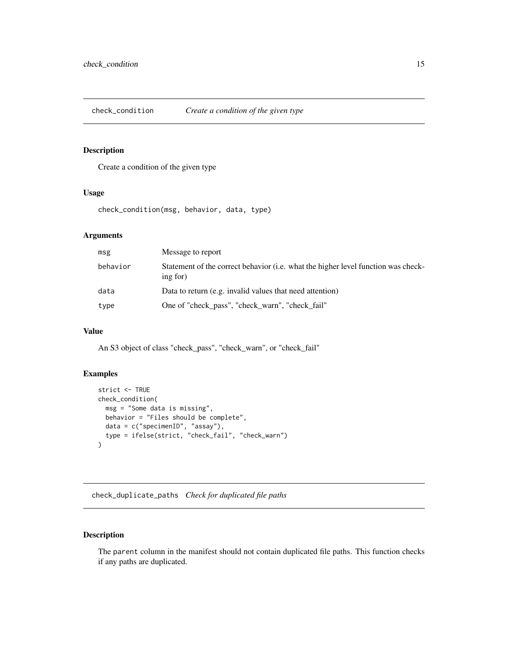<span id="page-14-0"></span>check\_condition *Create a condition of the given type*

## Description

Create a condition of the given type

#### Usage

check\_condition(msg, behavior, data, type)

## Arguments

| msg      | Message to report                                                                             |
|----------|-----------------------------------------------------------------------------------------------|
| behavior | Statement of the correct behavior (i.e. what the higher level function was check-<br>ing for) |
| data     | Data to return (e.g. invalid values that need attention)                                      |
| type     | One of "check_pass", "check_warn", "check_fail"                                               |

## Value

An S3 object of class "check\_pass", "check\_warn", or "check\_fail"

## Examples

```
strict <- TRUE
check_condition(
 msg = "Some data is missing",
 behavior = "Files should be complete",
 data = c("specimenID", "assay"),
  type = ifelse(strict, "check_fail", "check_warn")
)
```
check\_duplicate\_paths *Check for duplicated file paths*

## Description

The parent column in the manifest should not contain duplicated file paths. This function checks if any paths are duplicated.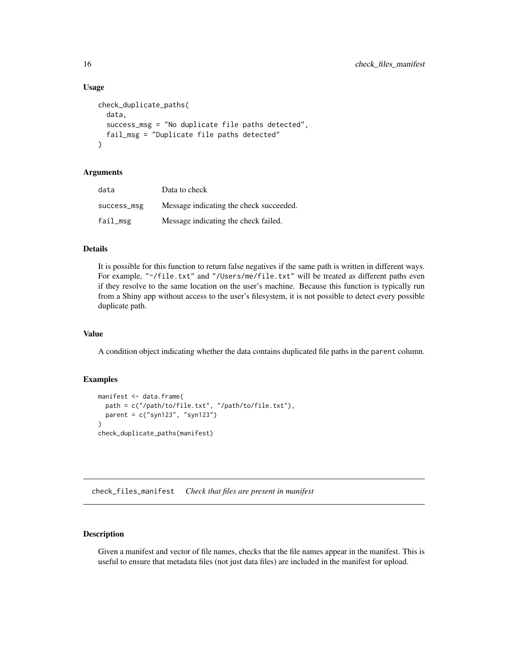#### Usage

```
check_duplicate_paths(
  data,
  success_msg = "No duplicate file paths detected",
  fail_msg = "Duplicate file paths detected"
)
```
## Arguments

| data        | Data to check                           |
|-------------|-----------------------------------------|
| success_msg | Message indicating the check succeeded. |
| fail_msg    | Message indicating the check failed.    |

## Details

It is possible for this function to return false negatives if the same path is written in different ways. For example, "~/file.txt" and "/Users/me/file.txt" will be treated as different paths even if they resolve to the same location on the user's machine. Because this function is typically run from a Shiny app without access to the user's filesystem, it is not possible to detect every possible duplicate path.

## Value

A condition object indicating whether the data contains duplicated file paths in the parent column.

## Examples

```
manifest <- data.frame(
  path = c("/path/to/file.txt", "/path/to/file.txt"),
  parent = c("syn123", "syn123")
\lambdacheck_duplicate_paths(manifest)
```
check\_files\_manifest *Check that files are present in manifest*

## Description

Given a manifest and vector of file names, checks that the file names appear in the manifest. This is useful to ensure that metadata files (not just data files) are included in the manifest for upload.

<span id="page-15-0"></span>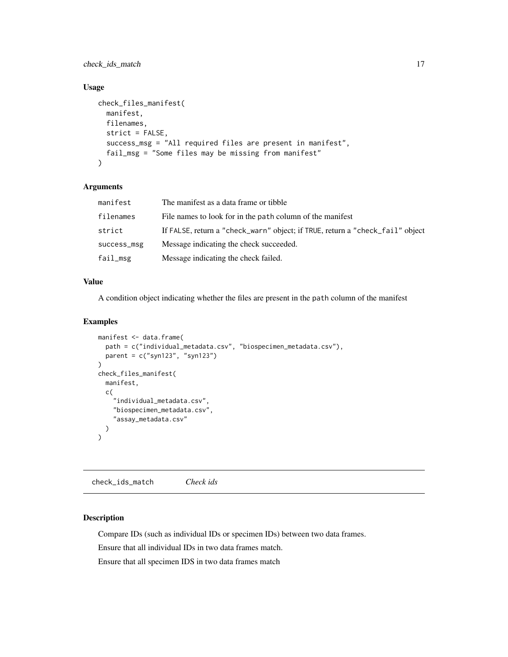<span id="page-16-0"></span>check\_ids\_match 17

## Usage

```
check_files_manifest(
 manifest,
  filenames,
  strict = FALSE,
  success_msg = "All required files are present in manifest",
  fail_msg = "Some files may be missing from manifest"
)
```
## Arguments

| manifest    | The manifest as a data frame or tibble                                        |
|-------------|-------------------------------------------------------------------------------|
| filenames   | File names to look for in the path column of the manifest                     |
| strict      | If FALSE, return a "check_warn" object; if TRUE, return a "check_fail" object |
| success_msg | Message indicating the check succeeded.                                       |
| fail_msg    | Message indicating the check failed.                                          |

## Value

A condition object indicating whether the files are present in the path column of the manifest

#### Examples

```
manifest <- data.frame(
  path = c("individual_metadata.csv", "biospecimen_metadata.csv"),
  parent = c("syn123", "syn123")
)
check_files_manifest(
  manifest,
  c(
    "individual_metadata.csv",
    "biospecimen_metadata.csv",
    "assay_metadata.csv"
  )
)
```
check\_ids\_match *Check ids*

## Description

Compare IDs (such as individual IDs or specimen IDs) between two data frames.

Ensure that all individual IDs in two data frames match.

Ensure that all specimen IDS in two data frames match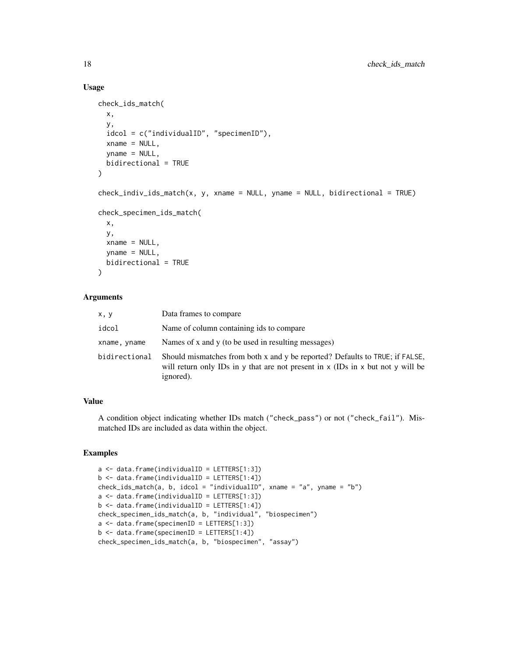#### Usage

```
check_ids_match(
  x,
 y,
  idcol = c("individualID", "specimenID"),
  xname = NULL,
  yname = NULL,bidirectional = TRUE
)
check\_indiv\_ids\_match(x, y, xname = NULL, yname = NULL, bidirectional = TRUE)check_specimen_ids_match(
  x,
 y,
  xname = NULL,
  yname = NULL,bidirectional = TRUE
)
```
#### Arguments

| x, y          | Data frames to compare                                                                                                                                                       |
|---------------|------------------------------------------------------------------------------------------------------------------------------------------------------------------------------|
| idcol         | Name of column containing ids to compare.                                                                                                                                    |
| xname, yname  | Names of x and y (to be used in resulting messages)                                                                                                                          |
| bidirectional | Should mismatches from both x and y be reported? Defaults to TRUE; if FALSE,<br>will return only IDs in y that are not present in x (IDs in x but not y will be<br>ignored). |

## Value

A condition object indicating whether IDs match ("check\_pass") or not ("check\_fail"). Mismatched IDs are included as data within the object.

```
a <- data.frame(individualID = LETTERS[1:3])
b <- data.frame(individualID = LETTERS[1:4])
check_ids_match(a, b, idcol = "individualID", xname = "a", yname = "b")
a <- data.frame(individualID = LETTERS[1:3])
b \leq data.frame(individualID = LETTERS[1:4])
check_specimen_ids_match(a, b, "individual", "biospecimen")
a <- data.frame(specimenID = LETTERS[1:3])
b <- data.frame(specimenID = LETTERS[1:4])
check_specimen_ids_match(a, b, "biospecimen", "assay")
```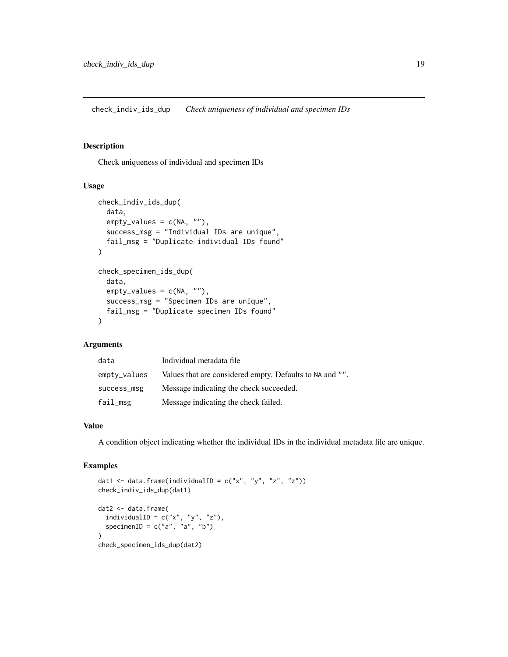<span id="page-18-0"></span>check\_indiv\_ids\_dup *Check uniqueness of individual and specimen IDs*

## Description

Check uniqueness of individual and specimen IDs

#### Usage

```
check_indiv_ids_dup(
  data,
  empty_values = c(NA, ""),
  success_msg = "Individual IDs are unique",
  fail_msg = "Duplicate individual IDs found"
)
check_specimen_ids_dup(
  data,
  empty\_values = c(NA, ""),success_msg = "Specimen IDs are unique",
  fail_msg = "Duplicate specimen IDs found"
)
```
## Arguments

| data            | Individual metadata file                                 |
|-----------------|----------------------------------------------------------|
| $empty\_values$ | Values that are considered empty. Defaults to NA and "". |
| success_msg     | Message indicating the check succeeded.                  |
| fail_msg        | Message indicating the check failed.                     |

## Value

A condition object indicating whether the individual IDs in the individual metadata file are unique.

```
dat1 <- data.frame(individualID = c("x", "y", "z", "z"))check_indiv_ids_dup(dat1)
dat2 <- data.frame(
  individualID = c("x", "y", "z"),specimenID = c("a", "a", "b")\lambdacheck_specimen_ids_dup(dat2)
```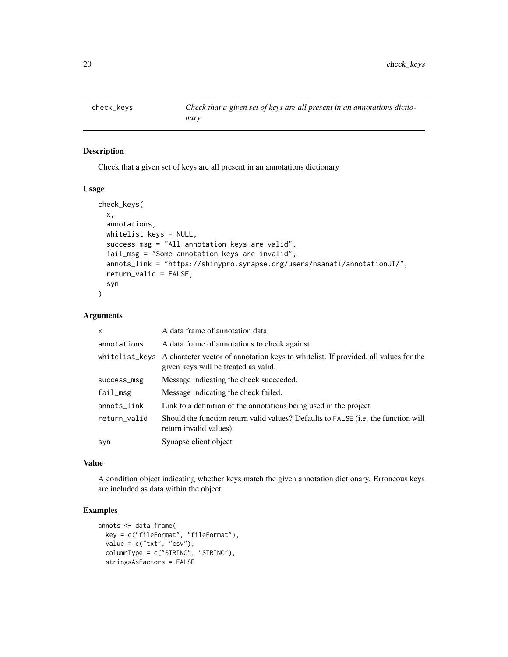<span id="page-19-1"></span><span id="page-19-0"></span>

## Description

Check that a given set of keys are all present in an annotations dictionary

#### Usage

```
check_keys(
  x,
  annotations,
 whitelist_keys = NULL,
  success_msg = "All annotation keys are valid",
  fail_msg = "Some annotation keys are invalid",
  annots_link = "https://shinypro.synapse.org/users/nsanati/annotationUI/",
  return_valid = FALSE,
  syn
\lambda
```
## Arguments

| $\mathsf{x}$ | A data frame of annotation data                                                                                                            |
|--------------|--------------------------------------------------------------------------------------------------------------------------------------------|
| annotations  | A data frame of annotations to check against                                                                                               |
|              | whitelist_keys A character vector of annotation keys to whitelist. If provided, all values for the<br>given keys will be treated as valid. |
| success_msg  | Message indicating the check succeeded.                                                                                                    |
| fail_msg     | Message indicating the check failed.                                                                                                       |
| annots_link  | Link to a definition of the annotations being used in the project                                                                          |
| return_valid | Should the function return valid values? Defaults to FALSE ( <i>i.e.</i> the function will<br>return invalid values).                      |
| syn          | Synapse client object                                                                                                                      |

#### Value

A condition object indicating whether keys match the given annotation dictionary. Erroneous keys are included as data within the object.

```
annots <- data.frame(
 key = c("fileFormat", "fileFormat"),
 value = c("txt", "csv"),columnType = c("STRING", "STRING"),
 stringsAsFactors = FALSE
```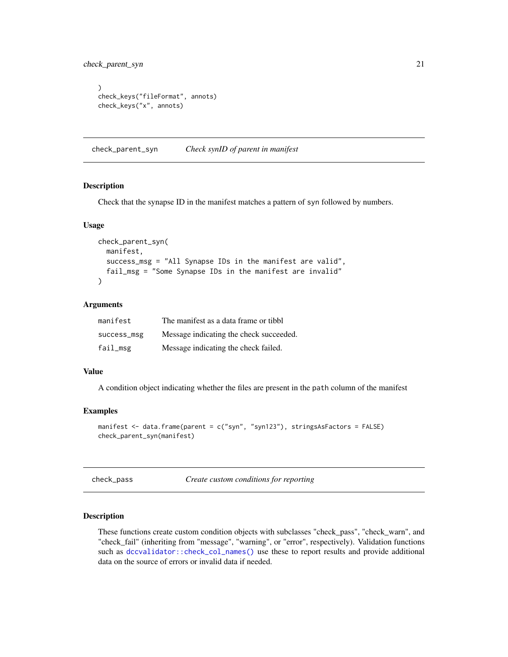<span id="page-20-0"></span>check\_parent\_syn 21

```
)
check_keys("fileFormat", annots)
check_keys("x", annots)
```
check\_parent\_syn *Check synID of parent in manifest*

#### Description

Check that the synapse ID in the manifest matches a pattern of syn followed by numbers.

#### Usage

```
check_parent_syn(
 manifest,
 success_msg = "All Synapse IDs in the manifest are valid",
 fail_msg = "Some Synapse IDs in the manifest are invalid"
)
```
## Arguments

| manifest    | The manifest as a data frame or tibbl   |
|-------------|-----------------------------------------|
| success_msg | Message indicating the check succeeded. |
| fail_msg    | Message indicating the check failed.    |

## Value

A condition object indicating whether the files are present in the path column of the manifest

#### Examples

```
manifest <- data.frame(parent = c("syn", "syn123"), stringsAsFactors = FALSE)
check_parent_syn(manifest)
```
check\_pass *Create custom conditions for reporting*

## Description

These functions create custom condition objects with subclasses "check\_pass", "check\_warn", and "check\_fail" (inheriting from "message", "warning", or "error", respectively). Validation functions such as [dccvalidator::check\\_col\\_names\(\)](#page-0-0) use these to report results and provide additional data on the source of errors or invalid data if needed.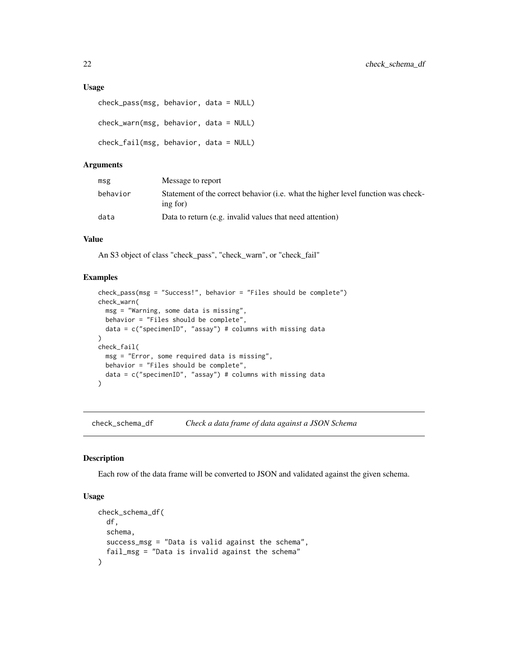#### <span id="page-21-0"></span>Usage

```
check_pass(msg, behavior, data = NULL)
check_warn(msg, behavior, data = NULL)
check_fail(msg, behavior, data = NULL)
```
## Arguments

| msg      | Message to report                                                                             |
|----------|-----------------------------------------------------------------------------------------------|
| behavior | Statement of the correct behavior (i.e. what the higher level function was check-<br>ing for) |
| data     | Data to return (e.g. invalid values that need attention)                                      |

## Value

An S3 object of class "check\_pass", "check\_warn", or "check\_fail"

#### Examples

```
check_pass(msg = "Success!", behavior = "Files should be complete")
check_warn(
  msg = "Warning, some data is missing",
  behavior = "Files should be complete",
  data = c("specimenID", "assay") # columns with missing data
)
check_fail(
  msg = "Error, some required data is missing",
  behavior = "Files should be complete",
  data = c("specimenID", "assay") # columns with missing data\mathcal{L}
```
<span id="page-21-1"></span>check\_schema\_df *Check a data frame of data against a JSON Schema*

#### Description

Each row of the data frame will be converted to JSON and validated against the given schema.

## Usage

```
check_schema_df(
  df,
  schema,
  success_msg = "Data is valid against the schema",
  fail_msg = "Data is invalid against the schema"
)
```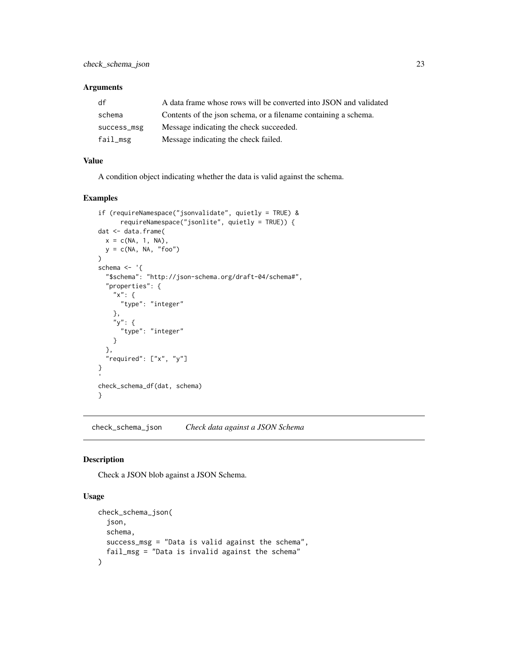## <span id="page-22-0"></span>Arguments

| df          | A data frame whose rows will be converted into JSON and validated |
|-------------|-------------------------------------------------------------------|
| schema      | Contents of the ison schema, or a filename containing a schema.   |
| success_msg | Message indicating the check succeeded.                           |
| fail_msg    | Message indicating the check failed.                              |

## Value

A condition object indicating whether the data is valid against the schema.

## Examples

```
if (requireNamespace("jsonvalidate", quietly = TRUE) &
      requireNamespace("jsonlite", quietly = TRUE)) {
dat <- data.frame(
 x = c(NA, 1, NA),
 y = c(NA, NA, "foo")
)
schema <- '{
 "$schema": "http://json-schema.org/draft-04/schema#",
 "properties": {
    "x": {
     "type": "integer"
   },
    "y": {
      "type": "integer"
    }
 },
  "required": ["x", "y"]
}
check_schema_df(dat, schema)
}
```
check\_schema\_json *Check data against a JSON Schema*

#### Description

Check a JSON blob against a JSON Schema.

## Usage

```
check_schema_json(
  json,
  schema,
  success_msg = "Data is valid against the schema",
  fail_msg = "Data is invalid against the schema"
\mathcal{E}
```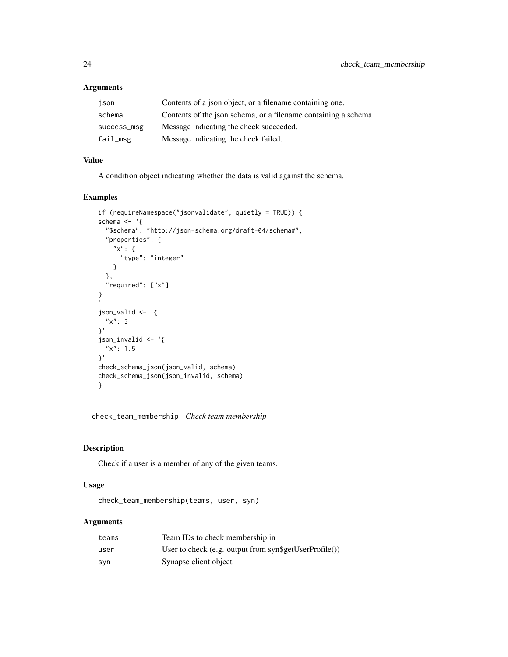## Arguments

| ison        | Contents of a json object, or a filename containing one.        |
|-------------|-----------------------------------------------------------------|
| schema      | Contents of the json schema, or a filename containing a schema. |
| success_msg | Message indicating the check succeeded.                         |
| fail_msg    | Message indicating the check failed.                            |

## Value

A condition object indicating whether the data is valid against the schema.

## Examples

```
if (requireNamespace("jsonvalidate", quietly = TRUE)) {
schema \leq - '{
  "$schema": "http://json-schema.org/draft-04/schema#",
  "properties": {
    "x": {
      "type": "integer"
    }
  },
  "required": ["x"]
}
json_valid <- '{
 "x": 3
}'
json_invalid <- '{
  "x": 1.5}'
check_schema_json(json_valid, schema)
check_schema_json(json_invalid, schema)
}
```
<span id="page-23-1"></span>check\_team\_membership *Check team membership*

## Description

Check if a user is a member of any of the given teams.

## Usage

```
check_team_membership(teams, user, syn)
```
## Arguments

| teams | Team IDs to check membership in                        |
|-------|--------------------------------------------------------|
| user  | User to check (e.g. output from syn\$getUserProfile()) |
| syn   | Synapse client object                                  |

<span id="page-23-0"></span>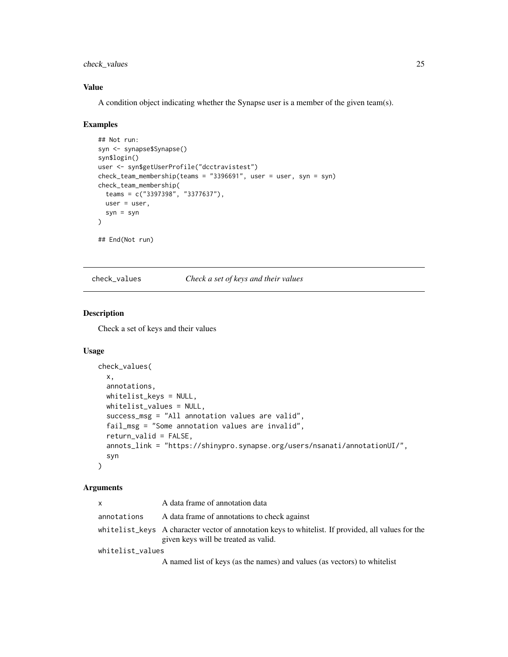<span id="page-24-0"></span>check\_values 25

## Value

A condition object indicating whether the Synapse user is a member of the given team(s).

#### Examples

```
## Not run:
syn <- synapse$Synapse()
syn$login()
user <- syn$getUserProfile("dcctravistest")
check_team_membership(teams = "3396691", user = user, syn = syn)
check_team_membership(
 teams = c("3397398", "3377637"),
 user = user,
  syn = syn
\lambda## End(Not run)
```
<span id="page-24-1"></span>check\_values *Check a set of keys and their values*

## Description

Check a set of keys and their values

## Usage

```
check_values(
  x,
  annotations,
  whitelist_keys = NULL,
 whitelist_values = NULL,
  success_msg = "All annotation values are valid",
  fail_msg = "Some annotation values are invalid",
  return_valid = FALSE,
  annots_link = "https://shinypro.synapse.org/users/nsanati/annotationUI/",
  syn
)
```
#### Arguments

| X                | A data frame of annotation data                                                                                                            |
|------------------|--------------------------------------------------------------------------------------------------------------------------------------------|
| annotations      | A data frame of annotations to check against                                                                                               |
|                  | whitelist_keys A character vector of annotation keys to whitelist. If provided, all values for the<br>given keys will be treated as valid. |
| whitelist_values |                                                                                                                                            |
|                  | A named list of keys (as the names) and values (as vectors) to white list                                                                  |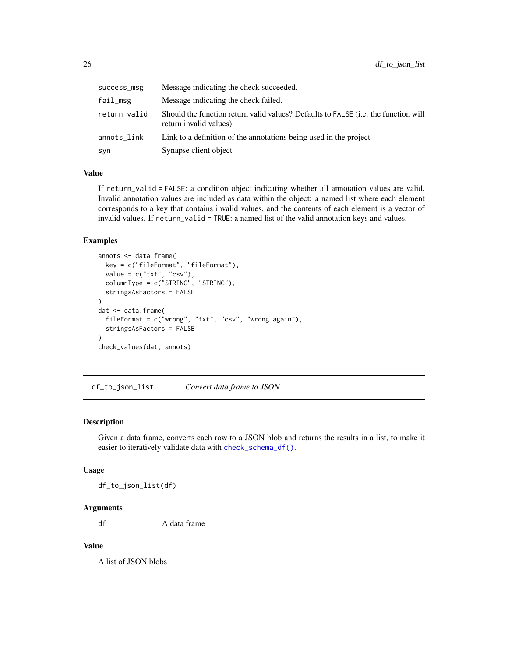<span id="page-25-0"></span>

| success_msg  | Message indicating the check succeeded.                                                                       |
|--------------|---------------------------------------------------------------------------------------------------------------|
| fail_msg     | Message indicating the check failed.                                                                          |
| return_valid | Should the function return valid values? Defaults to FALSE (i.e. the function will<br>return invalid values). |
| annots_link  | Link to a definition of the annotations being used in the project                                             |
| syn          | Synapse client object                                                                                         |

#### Value

If return\_valid = FALSE: a condition object indicating whether all annotation values are valid. Invalid annotation values are included as data within the object: a named list where each element corresponds to a key that contains invalid values, and the contents of each element is a vector of invalid values. If return\_valid = TRUE: a named list of the valid annotation keys and values.

#### Examples

```
annots <- data.frame(
  key = c("fileFormat", "fileFormat"),
  value = c("txt", "csv"),columnType = c("STRING", "STRING"),
  stringsAsFactors = FALSE
\overline{\phantom{a}}dat <- data.frame(
  fileFormat = c("wrong", "txt", "csv", "wrong again"),
  stringsAsFactors = FALSE
)
check_values(dat, annots)
```
df\_to\_json\_list *Convert data frame to JSON*

## Description

Given a data frame, converts each row to a JSON blob and returns the results in a list, to make it easier to iteratively validate data with [check\\_schema\\_df\(\)](#page-21-1).

#### Usage

df\_to\_json\_list(df)

## Arguments

df A data frame

#### Value

A list of JSON blobs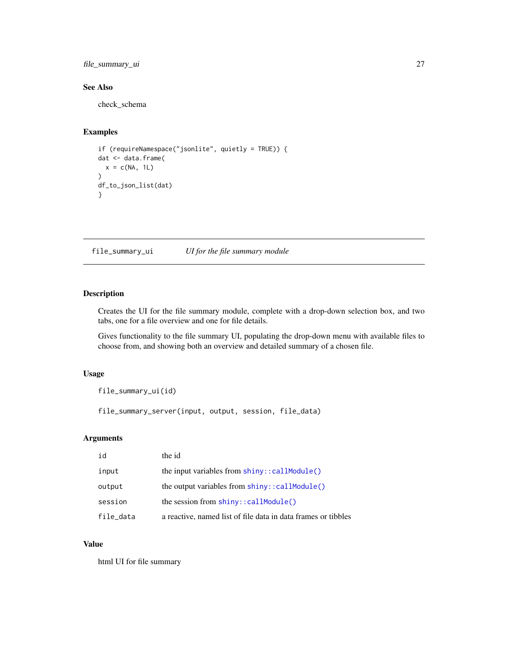<span id="page-26-0"></span>file\_summary\_ui 27

## See Also

check\_schema

## Examples

```
if (requireNamespace("jsonlite", quietly = TRUE)) {
dat <- data.frame(
 x = c(NA, 1L))
df_to_json_list(dat)
}
```
file\_summary\_ui *UI for the file summary module*

## Description

Creates the UI for the file summary module, complete with a drop-down selection box, and two tabs, one for a file overview and one for file details.

Gives functionality to the file summary UI, populating the drop-down menu with available files to choose from, and showing both an overview and detailed summary of a chosen file.

## Usage

file\_summary\_ui(id)

file\_summary\_server(input, output, session, file\_data)

## Arguments

| id        | the id                                                            |
|-----------|-------------------------------------------------------------------|
| input     | the input variables from $\text{shiny}$ : $\text{callModule}()$   |
| output    | the output variables from $\text{shiny}$ : $\text{cal1}$ Module() |
| session   | the session from $\text{shinv}$ : $\text{calIndule}()$            |
| file_data | a reactive, named list of file data in data frames or tibbles     |

## Value

html UI for file summary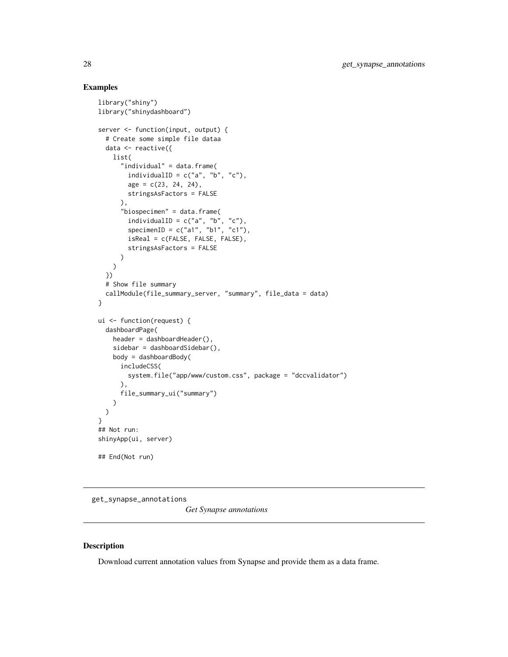## Examples

```
library("shiny")
library("shinydashboard")
server <- function(input, output) {
  # Create some simple file dataa
  data <- reactive({
   list(
      "individual" = data.frame(
        individualID = c("a", "b", "c"),
        age = c(23, 24, 24),
        stringsAsFactors = FALSE
      ),
      "biospecimen" = data.frame(
        individualID = c("a", "b", "c"),
        specimenID = c("a1", "b1", "c1"),
        isReal = c(FALSE, FALSE, FALSE),
        stringsAsFactors = FALSE
      )
   )
  })
  # Show file summary
  callModule(file_summary_server, "summary", file_data = data)
}
ui <- function(request) {
  dashboardPage(
   header = dashboardHeader(),
    sidebar = dashboardSidebar(),
   body = dashboardBody(
      includeCSS(
        system.file("app/www/custom.css", package = "dccvalidator")
      ),
      file_summary_ui("summary")
   )
 )
}
## Not run:
shinyApp(ui, server)
## End(Not run)
```
get\_synapse\_annotations

*Get Synapse annotations*

## Description

Download current annotation values from Synapse and provide them as a data frame.

<span id="page-27-0"></span>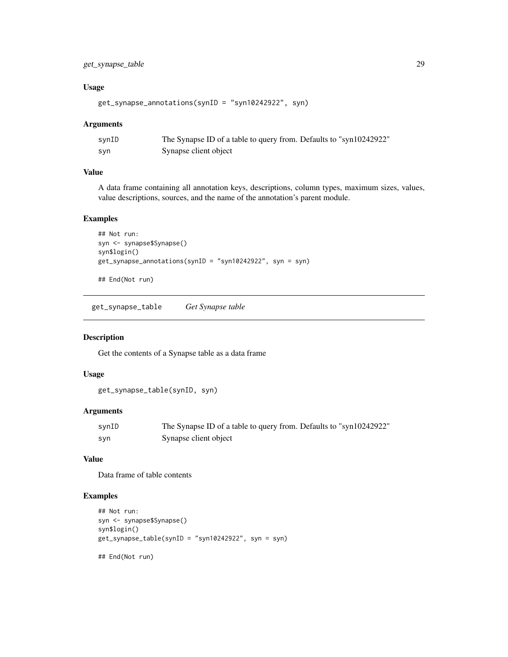## <span id="page-28-0"></span>get\_synapse\_table 29

## Usage

```
get_synapse_annotations(synID = "syn10242922", syn)
```
#### Arguments

| synID | The Synapse ID of a table to query from. Defaults to "syn10242922" |
|-------|--------------------------------------------------------------------|
| syn   | Synapse client object                                              |

## Value

A data frame containing all annotation keys, descriptions, column types, maximum sizes, values, value descriptions, sources, and the name of the annotation's parent module.

## Examples

```
## Not run:
syn <- synapse$Synapse()
syn$login()
get_synapse_annotations(synID = "syn10242922", syn = syn)
```
## End(Not run)

get\_synapse\_table *Get Synapse table*

## Description

Get the contents of a Synapse table as a data frame

## Usage

```
get_synapse_table(synID, syn)
```
## Arguments

| synID | The Synapse ID of a table to query from. Defaults to "syn10242922" |
|-------|--------------------------------------------------------------------|
| svn   | Synapse client object                                              |

## Value

Data frame of table contents

```
## Not run:
syn <- synapse$Synapse()
syn$login()
get_synapse_table(synID = "syn10242922", syn = syn)
## End(Not run)
```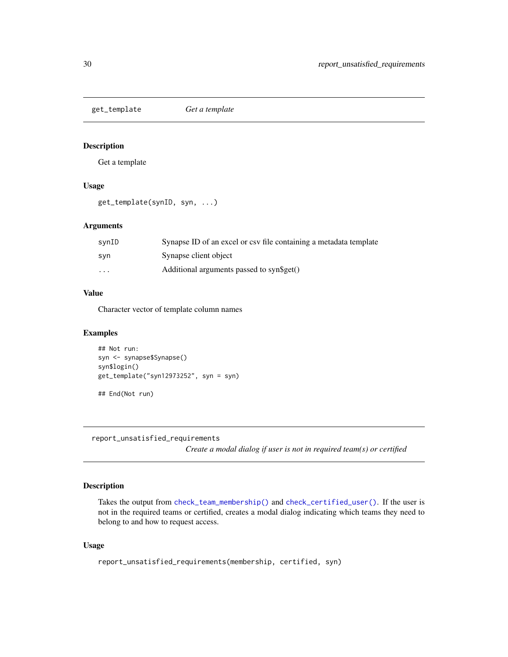<span id="page-29-0"></span>get\_template *Get a template*

## Description

Get a template

#### Usage

get\_template(synID, syn, ...)

## Arguments

| svnID                   | Synapse ID of an excel or csy file containing a metadata template |
|-------------------------|-------------------------------------------------------------------|
| syn                     | Synapse client object                                             |
| $\cdot$ $\cdot$ $\cdot$ | Additional arguments passed to syn\$get()                         |

## Value

Character vector of template column names

## Examples

```
## Not run:
syn <- synapse$Synapse()
syn$login()
get_template("syn12973252", syn = syn)
## End(Not run)
```
report\_unsatisfied\_requirements

*Create a modal dialog if user is not in required team(s) or certified*

## Description

Takes the output from [check\\_team\\_membership\(\)](#page-23-1) and [check\\_certified\\_user\(\)](#page-10-1). If the user is not in the required teams or certified, creates a modal dialog indicating which teams they need to belong to and how to request access.

#### Usage

```
report_unsatisfied_requirements(membership, certified, syn)
```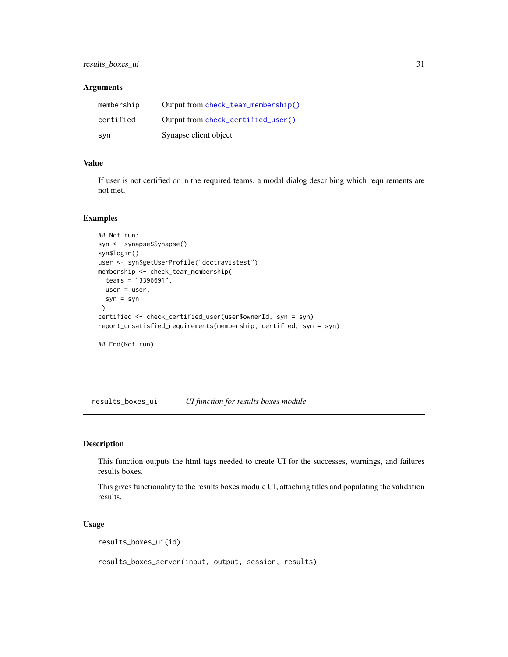## <span id="page-30-0"></span>Arguments

| membership | Output from check_team_membership() |
|------------|-------------------------------------|
| certified  | Output from check_certified_user()  |
| syn        | Synapse client object               |

## Value

If user is not certified or in the required teams, a modal dialog describing which requirements are not met.

## Examples

```
## Not run:
syn <- synapse$Synapse()
syn$login()
user <- syn$getUserProfile("dcctravistest")
membership <- check_team_membership(
  teams = "3396691",
 user = user,
  syn = syn
)
certified <- check_certified_user(user$ownerId, syn = syn)
report_unsatisfied_requirements(membership, certified, syn = syn)
## End(Not run)
```
results\_boxes\_ui *UI function for results boxes module*

## Description

This function outputs the html tags needed to create UI for the successes, warnings, and failures results boxes.

This gives functionality to the results boxes module UI, attaching titles and populating the validation results.

#### Usage

```
results_boxes_ui(id)
```
results\_boxes\_server(input, output, session, results)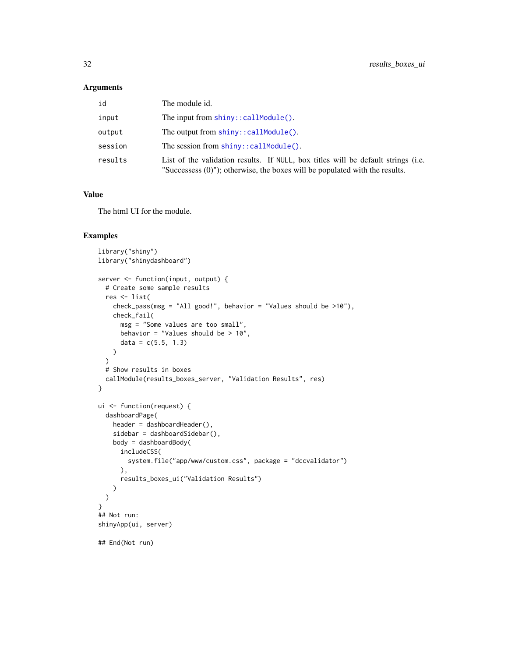#### <span id="page-31-0"></span>Arguments

| id      | The module id.                                                                                                                                                      |
|---------|---------------------------------------------------------------------------------------------------------------------------------------------------------------------|
| input   | The input from $\text{shiny}$ : : callModule().                                                                                                                     |
| output  | The output from $\text{shiny}$ : : callModule().                                                                                                                    |
| session | The session from $\text{shiny}$ : $\text{cal}\$ <i>Module().</i>                                                                                                    |
| results | List of the validation results. If NULL, box titles will be default strings (i.e.<br>"Successess $(0)$ "); otherwise, the boxes will be populated with the results. |

#### Value

The html UI for the module.

```
library("shiny")
library("shinydashboard")
server <- function(input, output) {
  # Create some sample results
  res <- list(
   check_pass(msg = "All good!", behavior = "Values should be >10"),
   check_fail(
     msg = "Some values are too small",
     behavior = "Values should be > 10",
      data = c(5.5, 1.3))
  \mathcal{L}# Show results in boxes
  callModule(results_boxes_server, "Validation Results", res)
}
ui <- function(request) {
  dashboardPage(
   header = dashboardHeader(),
    sidebar = dashboardSidebar(),
   body = dashboardBody(
      includeCSS(
        system.file("app/www/custom.css", package = "dccvalidator")
      ),
      results_boxes_ui("Validation Results")
   )
 )
}
## Not run:
shinyApp(ui, server)
## End(Not run)
```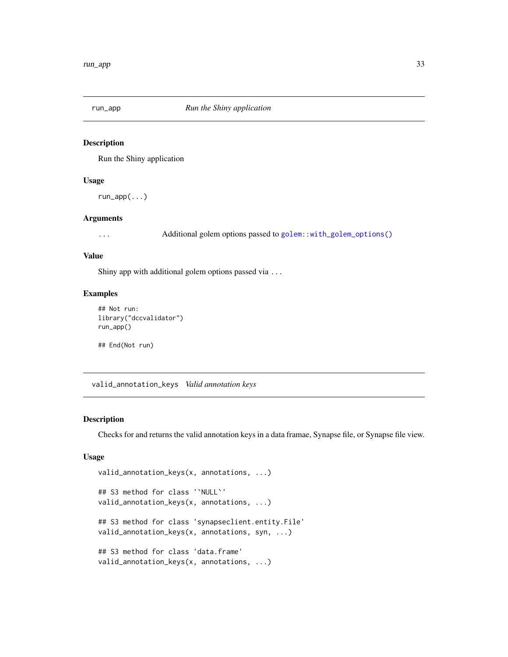<span id="page-32-0"></span>

## Description

Run the Shiny application

#### Usage

run\_app(...)

## Arguments

... Additional golem options passed to [golem::with\\_golem\\_options\(\)](#page-0-0)

#### Value

Shiny app with additional golem options passed via ...

#### Examples

```
## Not run:
library("dccvalidator")
run_app()
```
## End(Not run)

<span id="page-32-1"></span>valid\_annotation\_keys *Valid annotation keys*

## Description

Checks for and returns the valid annotation keys in a data framae, Synapse file, or Synapse file view.

#### Usage

```
valid_annotation_keys(x, annotations, ...)
## S3 method for class '`NULL`'
valid_annotation_keys(x, annotations, ...)
## S3 method for class 'synapseclient.entity.File'
valid_annotation_keys(x, annotations, syn, ...)
## S3 method for class 'data.frame'
valid_annotation_keys(x, annotations, ...)
```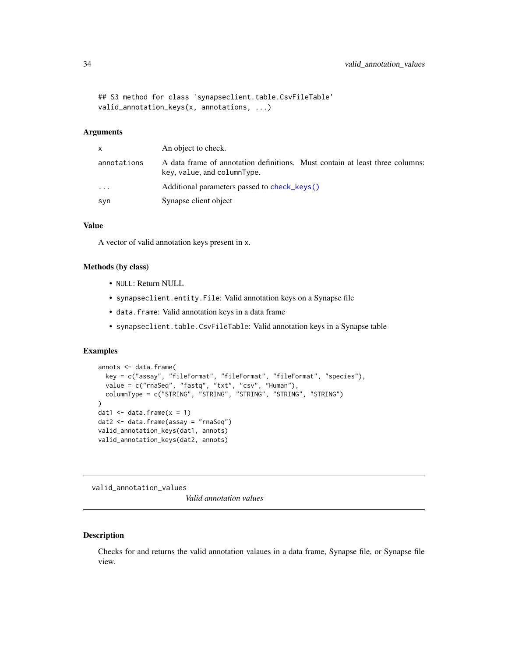```
## S3 method for class 'synapseclient.table.CsvFileTable'
valid_annotation_keys(x, annotations, ...)
```
## Arguments

| X           | An object to check.                                                                                         |
|-------------|-------------------------------------------------------------------------------------------------------------|
| annotations | A data frame of annotation definitions. Must contain at least three columns:<br>key, value, and columnType. |
| .           | Additional parameters passed to check keys()                                                                |
| syn         | Synapse client object                                                                                       |

#### Value

A vector of valid annotation keys present in x.

#### Methods (by class)

- NULL: Return NULL
- synapseclient.entity.File: Valid annotation keys on a Synapse file
- data.frame: Valid annotation keys in a data frame
- synapseclient.table.CsvFileTable: Valid annotation keys in a Synapse table

## Examples

```
annots <- data.frame(
  key = c("assay", "fileFormat", "fileFormat", "fileFormat", "species"),
  value = c("rnaSeq", "fastq", "txt", "csv", "Human"),
  columnType = c("STRING", "STRING", "STRING", "STRING", "STRING")
\lambdadat1 \leq data.frame(x = 1)
dat2 <- data.frame(assay = "rnaSeq")
valid_annotation_keys(dat1, annots)
valid_annotation_keys(dat2, annots)
```
<span id="page-33-1"></span>valid\_annotation\_values

*Valid annotation values*

## Description

Checks for and returns the valid annotation valaues in a data frame, Synapse file, or Synapse file view.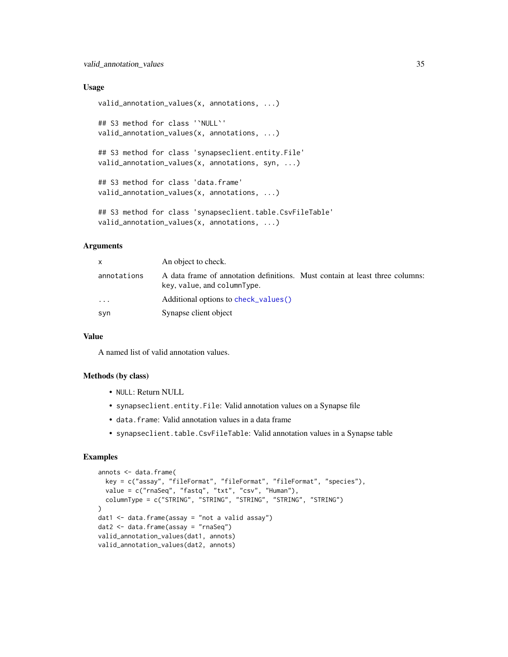#### <span id="page-34-0"></span>Usage

```
valid_annotation_values(x, annotations, ...)
## S3 method for class '`NULL`'
valid_annotation_values(x, annotations, ...)
## S3 method for class 'synapseclient.entity.File'
valid_annotation_values(x, annotations, syn, ...)
## S3 method for class 'data.frame'
valid_annotation_values(x, annotations, ...)
## S3 method for class 'synapseclient.table.CsvFileTable'
valid_annotation_values(x, annotations, ...)
```
## Arguments

| $\mathsf{x}$ | An object to check.                                                                                         |
|--------------|-------------------------------------------------------------------------------------------------------------|
| annotations  | A data frame of annotation definitions. Must contain at least three columns:<br>key, value, and columnType. |
| $\cdots$     | Additional options to check_values()                                                                        |
| syn          | Synapse client object                                                                                       |

#### Value

A named list of valid annotation values.

#### Methods (by class)

- NULL: Return NULL
- synapseclient.entity.File: Valid annotation values on a Synapse file
- data.frame: Valid annotation values in a data frame
- synapseclient.table.CsvFileTable: Valid annotation values in a Synapse table

```
annots <- data.frame(
  key = c("assay", "fileFormat", "fileFormat", "fileFormat", "species"),
  value = c("rnaSeq", "fastq", "txt", "csv", "Human"),
  columnType = c("STRING", "STRING", "STRING", "STRING", "STRING")
)
dat1 < - data. frame(assay = "not a valid assay")
dat2 <- data.frame(assay = "rnaSeq")
valid_annotation_values(dat1, annots)
valid_annotation_values(dat2, annots)
```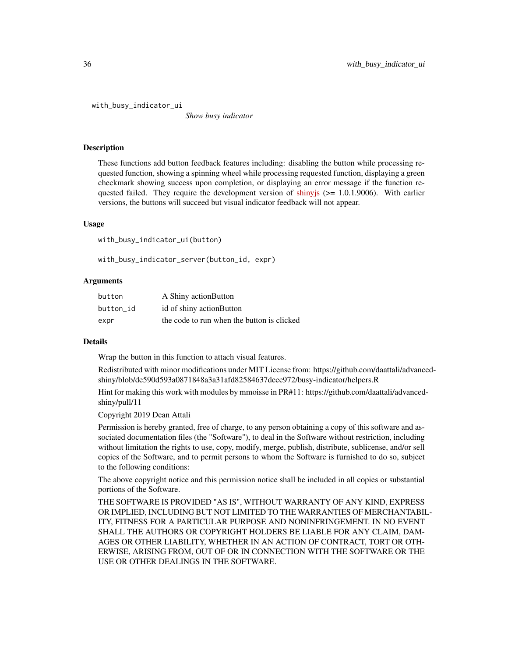<span id="page-35-0"></span>with\_busy\_indicator\_ui

*Show busy indicator*

#### **Description**

These functions add button feedback features including: disabling the button while processing requested function, showing a spinning wheel while processing requested function, displaying a green checkmark showing success upon completion, or displaying an error message if the function requested failed. They require the development version of shiny is  $(>= 1.0.1.9006)$ . With earlier versions, the buttons will succeed but visual indicator feedback will not appear.

#### Usage

with\_busy\_indicator\_ui(button)

with\_busy\_indicator\_server(button\_id, expr)

#### Arguments

| button    | A Shiny action Button                      |
|-----------|--------------------------------------------|
| button id | id of shiny action Button                  |
| expr      | the code to run when the button is clicked |

## Details

Wrap the button in this function to attach visual features.

Redistributed with minor modifications under MIT License from: https://github.com/daattali/advancedshiny/blob/de590d593a0871848a3a31afd82584637decc972/busy-indicator/helpers.R

Hint for making this work with modules by mmoisse in PR#11: https://github.com/daattali/advancedshiny/pull/11

Copyright 2019 Dean Attali

Permission is hereby granted, free of charge, to any person obtaining a copy of this software and associated documentation files (the "Software"), to deal in the Software without restriction, including without limitation the rights to use, copy, modify, merge, publish, distribute, sublicense, and/or sell copies of the Software, and to permit persons to whom the Software is furnished to do so, subject to the following conditions:

The above copyright notice and this permission notice shall be included in all copies or substantial portions of the Software.

THE SOFTWARE IS PROVIDED "AS IS", WITHOUT WARRANTY OF ANY KIND, EXPRESS OR IMPLIED, INCLUDING BUT NOT LIMITED TO THE WARRANTIES OF MERCHANTABIL-ITY, FITNESS FOR A PARTICULAR PURPOSE AND NONINFRINGEMENT. IN NO EVENT SHALL THE AUTHORS OR COPYRIGHT HOLDERS BE LIABLE FOR ANY CLAIM, DAM-AGES OR OTHER LIABILITY, WHETHER IN AN ACTION OF CONTRACT, TORT OR OTH-ERWISE, ARISING FROM, OUT OF OR IN CONNECTION WITH THE SOFTWARE OR THE USE OR OTHER DEALINGS IN THE SOFTWARE.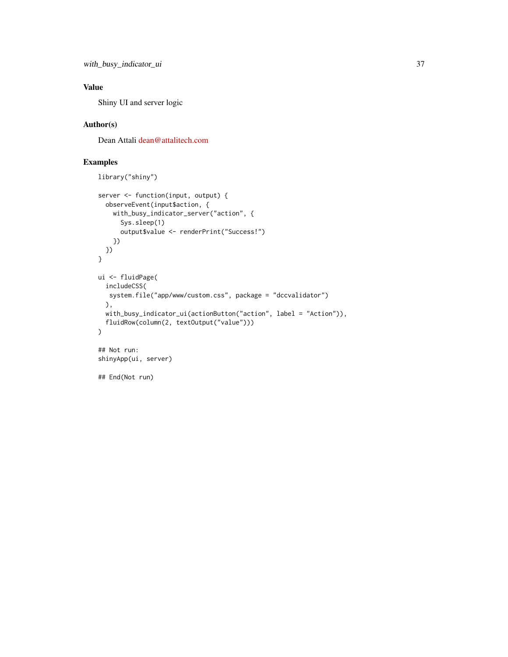## Value

Shiny UI and server logic

## Author(s)

Dean Attali [dean@attalitech.com](mailto:dean@attalitech.com)

```
library("shiny")
server <- function(input, output) {
  observeEvent(input$action, {
   with_busy_indicator_server("action", {
      Sys.sleep(1)
      output$value <- renderPrint("Success!")
   })
 })
}
ui <- fluidPage(
  includeCSS(
  system.file("app/www/custom.css", package = "dccvalidator")
 ),
  with_busy_indicator_ui(actionButton("action", label = "Action")),
  fluidRow(column(2, textOutput("value")))
)
## Not run:
shinyApp(ui, server)
## End(Not run)
```